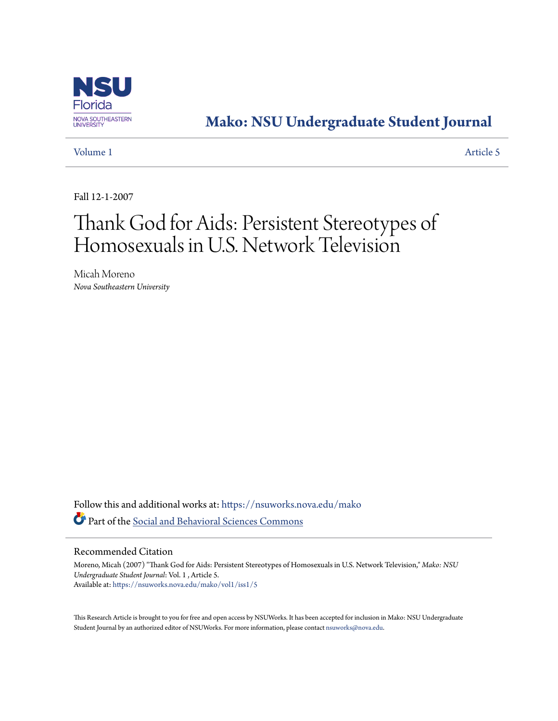

# **[Mako: NSU Undergraduate Student Journal](https://nsuworks.nova.edu/mako?utm_source=nsuworks.nova.edu%2Fmako%2Fvol1%2Fiss1%2F5&utm_medium=PDF&utm_campaign=PDFCoverPages)**

[Volume 1](https://nsuworks.nova.edu/mako/vol1?utm_source=nsuworks.nova.edu%2Fmako%2Fvol1%2Fiss1%2F5&utm_medium=PDF&utm_campaign=PDFCoverPages) [Article 5](https://nsuworks.nova.edu/mako/vol1/iss1/5?utm_source=nsuworks.nova.edu%2Fmako%2Fvol1%2Fiss1%2F5&utm_medium=PDF&utm_campaign=PDFCoverPages)

Fall 12-1-2007

# Thank God for Aids: Persistent Stereotypes of Homosexuals in U.S. Network Television

Micah Moreno *Nova Southeastern University*

Follow this and additional works at: [https://nsuworks.nova.edu/mako](https://nsuworks.nova.edu/mako?utm_source=nsuworks.nova.edu%2Fmako%2Fvol1%2Fiss1%2F5&utm_medium=PDF&utm_campaign=PDFCoverPages) Part of the [Social and Behavioral Sciences Commons](http://network.bepress.com/hgg/discipline/316?utm_source=nsuworks.nova.edu%2Fmako%2Fvol1%2Fiss1%2F5&utm_medium=PDF&utm_campaign=PDFCoverPages)

# Recommended Citation

Moreno, Micah (2007) "Thank God for Aids: Persistent Stereotypes of Homosexuals in U.S. Network Television," *Mako: NSU Undergraduate Student Journal*: Vol. 1 , Article 5. Available at: [https://nsuworks.nova.edu/mako/vol1/iss1/5](https://nsuworks.nova.edu/mako/vol1/iss1/5?utm_source=nsuworks.nova.edu%2Fmako%2Fvol1%2Fiss1%2F5&utm_medium=PDF&utm_campaign=PDFCoverPages)

This Research Article is brought to you for free and open access by NSUWorks. It has been accepted for inclusion in Mako: NSU Undergraduate Student Journal by an authorized editor of NSUWorks. For more information, please contact [nsuworks@nova.edu](mailto:nsuworks@nova.edu).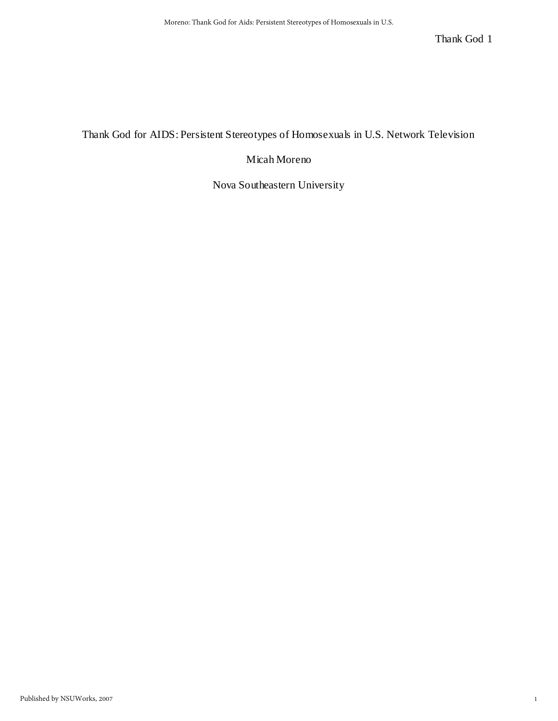# Thank God for AIDS: Persistent Stereotypes of Homosexuals in U.S. Network Television

# Micah Moreno

Nova Southeastern University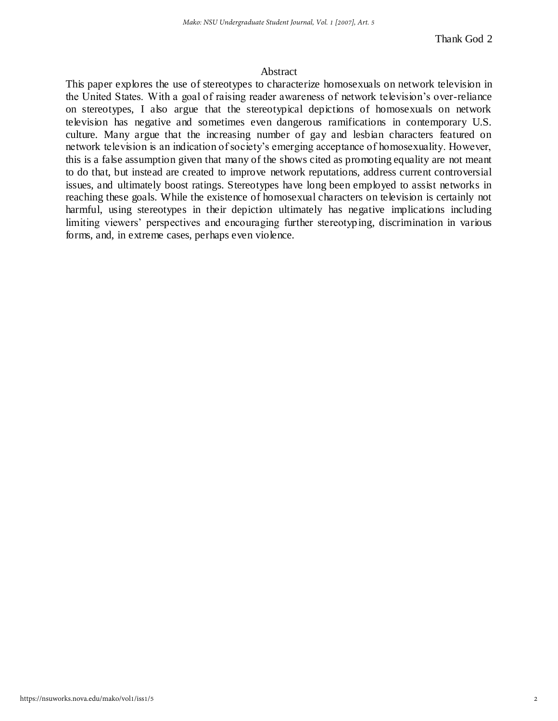# Abstract

This paper explores the use of stereotypes to characterize homosexuals on network television in the United States. With a goal of raising reader awareness of network television"s over-reliance on stereotypes, I also argue that the stereotypical depictions of homosexuals on network television has negative and sometimes even dangerous ramifications in contemporary U.S. culture. Many argue that the increasing number of gay and lesbian characters featured on network television is an indication of society's emerging acceptance of homosexuality. However, this is a false assumption given that many of the shows cited as promoting equality are not meant to do that, but instead are created to improve network reputations, address current controversial issues, and ultimately boost ratings. Stereotypes have long been employed to assist networks in reaching these goals. While the existence of homosexual characters on television is certainly not harmful, using stereotypes in their depiction ultimately has negative implications including limiting viewers' perspectives and encouraging further stereotyping, discrimination in various forms, and, in extreme cases, perhaps even violence.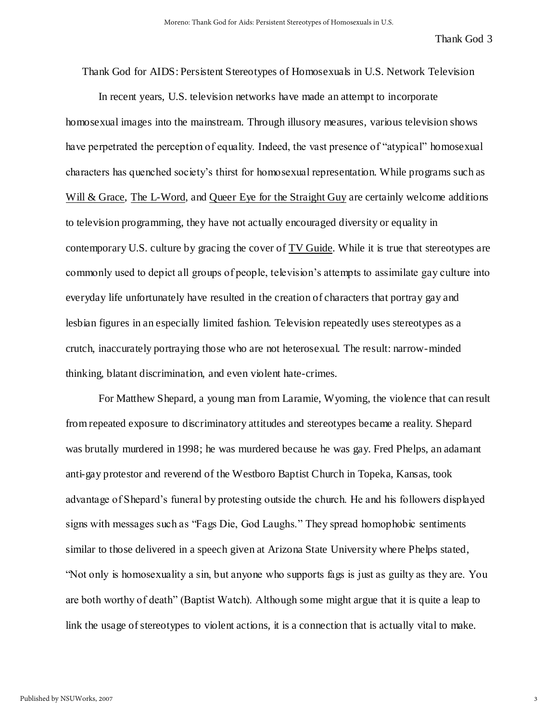Thank God for AIDS: Persistent Stereotypes of Homosexuals in U.S. Network Television

 In recent years, U.S. television networks have made an attempt to incorporate homosexual images into the mainstream. Through illusory measures, various television shows have perpetrated the perception of equality. Indeed, the vast presence of "atypical" homosexual characters has quenched society"s thirst for homosexual representation. While programs such as Will & Grace, The L-Word, and Queer Eye for the Straight Guy are certainly welcome additions to television programming, they have not actually encouraged diversity or equality in contemporary U.S. culture by gracing the cover of TV Guide. While it is true that stereotypes are commonly used to depict all groups of people, television"s attempts to assimilate gay culture into everyday life unfortunately have resulted in the creation of characters that portray gay and lesbian figures in an especially limited fashion. Television repeatedly uses stereotypes as a crutch, inaccurately portraying those who are not heterosexual. The result: narrow-minded thinking, blatant discrimination, and even violent hate-crimes.

 For Matthew Shepard, a young man from Laramie, Wyoming, the violence that can result from repeated exposure to discriminatory attitudes and stereotypes became a reality. Shepard was brutally murdered in 1998; he was murdered because he was gay. Fred Phelps, an adamant anti-gay protestor and reverend of the Westboro Baptist Church in Topeka, Kansas, took advantage of Shepard"s funeral by protesting outside the church. He and his followers displayed signs with messages such as "Fags Die, God Laughs." They spread homophobic sentiments similar to those delivered in a speech given at Arizona State University where Phelps stated, "Not only is homosexuality a sin, but anyone who supports fags is just as guilty as they are. You are both worthy of death" (Baptist Watch). Although some might argue that it is quite a leap to link the usage of stereotypes to violent actions, it is a connection that is actually vital to make.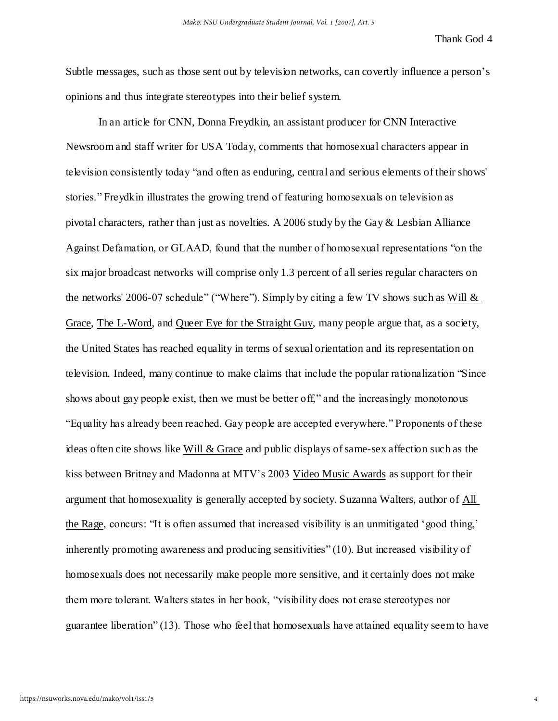Subtle messages, such as those sent out by television networks, can covertly influence a person's opinions and thus integrate stereotypes into their belief system.

 In an article for CNN, Donna Freydkin, an assistant producer for CNN Interactive Newsroom and staff writer for USA Today, comments that homosexual characters appear in television consistently today "and often as enduring, central and serious elements of their shows' stories." Freydkin illustrates the growing trend of featuring homosexuals on television as pivotal characters, rather than just as novelties. A 2006 study by the Gay & Lesbian Alliance Against Defamation, or GLAAD, found that the number of homosexual representations "on the six major broadcast networks will comprise only 1.3 percent of all series regular characters on the networks' 2006-07 schedule" ("Where"). Simply by citing a few TV shows such as Will & Grace, The L-Word, and Queer Eye for the Straight Guy, many people argue that, as a society, the United States has reached equality in terms of sexual orientation and its representation on television. Indeed, many continue to make claims that include the popular rationalization "Since shows about gay people exist, then we must be better off," and the increasingly monotonous "Equality has already been reached. Gay people are accepted everywhere." Proponents of these ideas often cite shows like Will & Grace and public displays of same-sex affection such as the kiss between Britney and Madonna at MTV"s 2003 Video Music Awards as support for their argument that homosexuality is generally accepted by society. Suzanna Walters, author of All the Rage, concurs: "It is often assumed that increased visibility is an unmitigated "good thing," inherently promoting awareness and producing sensitivities" (10). But increased visibility of homosexuals does not necessarily make people more sensitive, and it certainly does not make them more tolerant. Walters states in her book, "visibility does not erase stereotypes nor guarantee liberation" (13). Those who feel that homosexuals have attained equality seem to have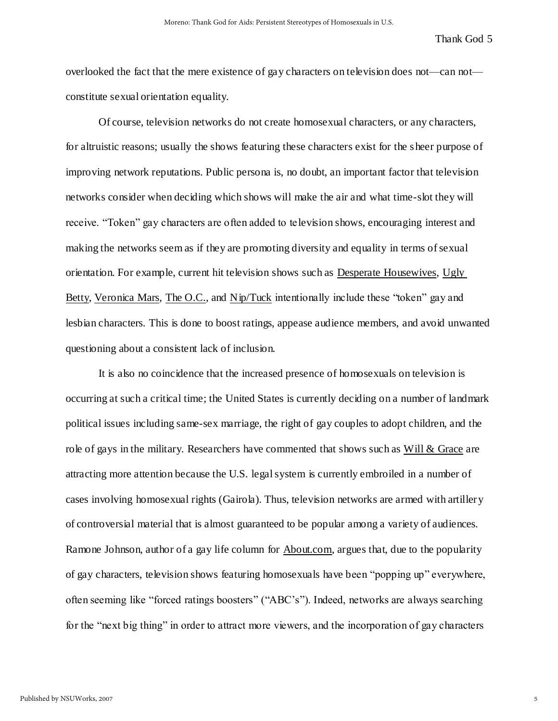overlooked the fact that the mere existence of gay characters on television does not—can not constitute sexual orientation equality.

 Of course, television networks do not create homosexual characters, or any characters, for altruistic reasons; usually the shows featuring these characters exist for the sheer purpose of improving network reputations. Public persona is, no doubt, an important factor that television networks consider when deciding which shows will make the air and what time-slot they will receive. "Token" gay characters are often added to television shows, encouraging interest and making the networks seem as if they are promoting diversity and equality in terms of sexual orientation. For example, current hit television shows such as Desperate Housewives, Ugly Betty, Veronica Mars, The O.C., and Nip/Tuck intentionally include these "token" gay and lesbian characters. This is done to boost ratings, appease audience members, and avoid unwanted questioning about a consistent lack of inclusion.

 It is also no coincidence that the increased presence of homosexuals on television is occurring at such a critical time; the United States is currently deciding on a number of landmark political issues including same-sex marriage, the right of gay couples to adopt children, and the role of gays in the military. Researchers have commented that shows such as Will & Grace are attracting more attention because the U.S. legal system is currently embroiled in a number of cases involving homosexual rights (Gairola). Thus, television networks are armed with artillery of controversial material that is almost guaranteed to be popular among a variety of audiences. Ramone Johnson, author of a gay life column for About.com, argues that, due to the popularity of gay characters, television shows featuring homosexuals have been "popping up" everywhere, often seeming like "forced ratings boosters" ("ABC"s"). Indeed, networks are always searching for the "next big thing" in order to attract more viewers, and the incorporation of gay characters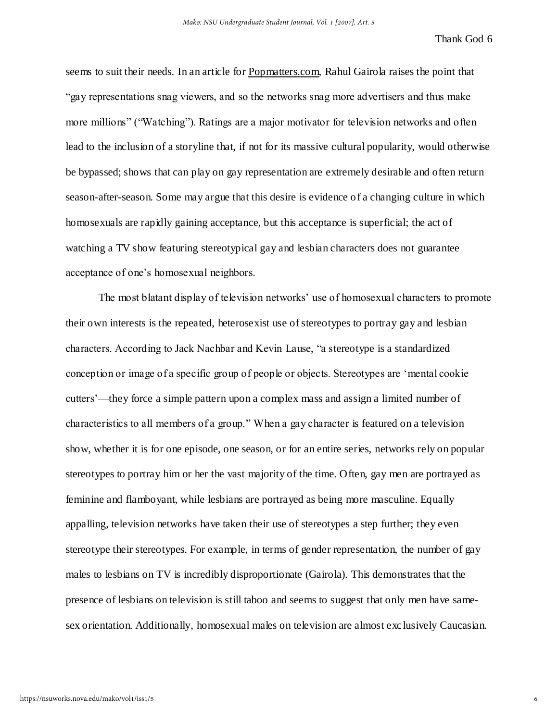seems to suit their needs. In an article for Popmatters.com, Rahul Gairola raises the point that "gay representations snag viewers, and so the networks snag more advertisers and thus make more millions" ("Watching"). Ratings are a major motivator for television networks and often lead to the inclusion of a storyline that, if not for its massive cultural popularity, would otherwise be bypassed; shows that can play on gay representation are extremely desirable and often return season-after-season. Some may argue that this desire is evidence of a changing culture in which homosexuals are rapidly gaining acceptance, but this acceptance is superficial; the act of watching a TV show featuring stereotypical gay and lesbian characters does not guarantee acceptance of one"s homosexual neighbors.

The most blatant display of television networks' use of homosexual characters to promote their own interests is the repeated, heterosexist use of stereotypes to portray gay and lesbian characters. According to Jack Nachbar and Kevin Lause, "a stereotype is a standardized conception or image of a specific group of people or objects. Stereotypes are "mental cookie cutters"—they force a simple pattern upon a complex mass and assign a limited number of characteristics to all members of a group." When a gay character is featured on a television show, whether it is for one episode, one season, or for an entire series, networks rely on popular stereotypes to portray him or her the vast majority of the time. Often, gay men are portrayed as feminine and flamboyant, while lesbians are portrayed as being more masculine. Equally appalling, television networks have taken their use of stereotypes a step further; they even stereotype their stereotypes. For example, in terms of gender representation, the number of gay males to lesbians on TV is incredibly disproportionate (Gairola). This demonstrates that the presence of lesbians on television is still taboo and seems to suggest that only men have samesex orientation. Additionally, homosexual males on television are almost exclusively Caucasian.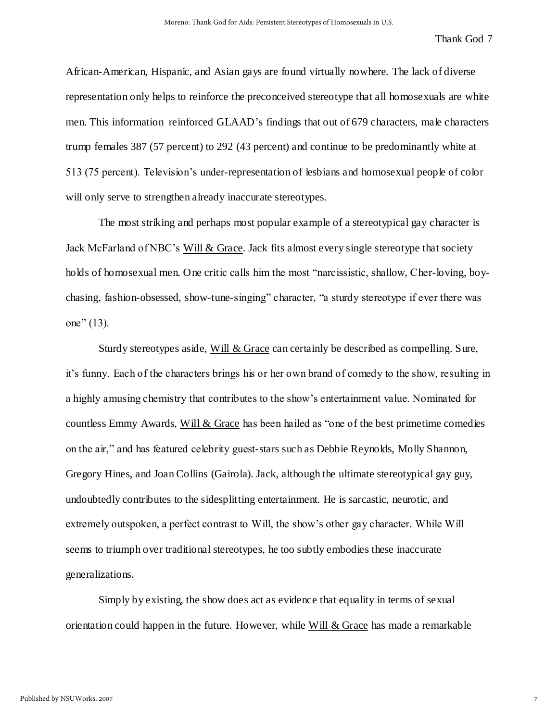African-American, Hispanic, and Asian gays are found virtually nowhere. The lack of diverse representation only helps to reinforce the preconceived stereotype that all homosexuals are white men. This information reinforced GLAAD"s findings that out of 679 characters, male characters trump females 387 (57 percent) to 292 (43 percent) and continue to be predominantly white at 513 (75 percent). Television"s under-representation of lesbians and homosexual people of color will only serve to strengthen already inaccurate stereotypes.

 The most striking and perhaps most popular example of a stereotypical gay character is Jack McFarland of NBC"s Will & Grace. Jack fits almost every single stereotype that society holds of homosexual men. One critic calls him the most "narcissistic, shallow, Cher-loving, boychasing, fashion-obsessed, show-tune-singing" character, "a sturdy stereotype if ever there was one" (13).

 Sturdy stereotypes aside, Will & Grace can certainly be described as compelling. Sure, it"s funny. Each of the characters brings his or her own brand of comedy to the show, resulting in a highly amusing chemistry that contributes to the show"s entertainment value. Nominated for countless Emmy Awards, Will  $&$  Grace has been hailed as "one of the best primetime comedies" on the air," and has featured celebrity guest-stars such as Debbie Reynolds, Molly Shannon, Gregory Hines, and Joan Collins (Gairola). Jack, although the ultimate stereotypical gay guy, undoubtedly contributes to the sidesplitting entertainment. He is sarcastic, neurotic, and extremely outspoken, a perfect contrast to Will, the show"s other gay character. While Will seems to triumph over traditional stereotypes, he too subtly embodies these inaccurate generalizations.

 Simply by existing, the show does act as evidence that equality in terms of sexual orientation could happen in the future. However, while Will & Grace has made a remarkable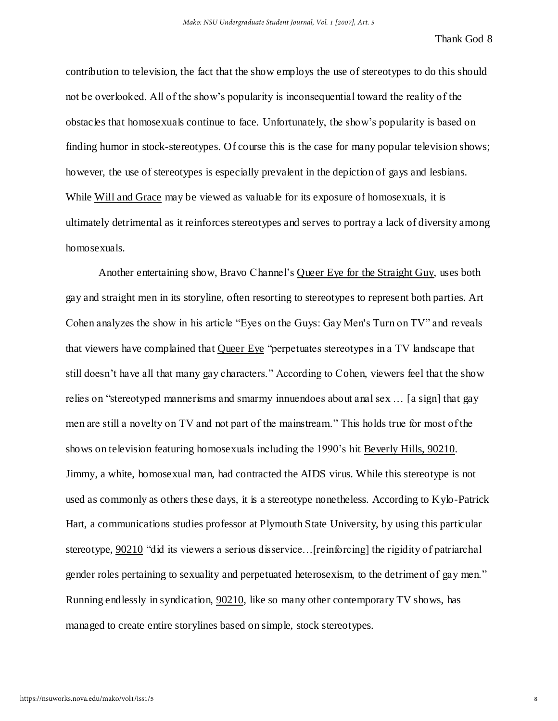contribution to television, the fact that the show employs the use of stereotypes to do this should not be overlooked. All of the show"s popularity is inconsequential toward the reality of the obstacles that homosexuals continue to face. Unfortunately, the show"s popularity is based on finding humor in stock-stereotypes. Of course this is the case for many popular television shows; however, the use of stereotypes is especially prevalent in the depiction of gays and lesbians. While Will and Grace may be viewed as valuable for its exposure of homosexuals, it is ultimately detrimental as it reinforces stereotypes and serves to portray a lack of diversity among homosexuals.

 Another entertaining show, Bravo Channel"s Queer Eye for the Straight Guy, uses both gay and straight men in its storyline, often resorting to stereotypes to represent both parties. Art Cohen analyzes the show in his article "Eyes on the Guys: Gay Men's Turn on TV" and reveals that viewers have complained that Queer Eye "perpetuates stereotypes in a TV landscape that still doesn"t have all that many gay characters." According to Cohen, viewers feel that the show relies on "stereotyped mannerisms and smarmy innuendoes about anal sex … [a sign] that gay men are still a novelty on TV and not part of the mainstream." This holds true for most of the shows on television featuring homosexuals including the 1990"s hit Beverly Hills, 90210. Jimmy, a white, homosexual man, had contracted the AIDS virus. While this stereotype is not used as commonly as others these days, it is a stereotype nonetheless. According to Kylo-Patrick Hart, a communications studies professor at Plymouth State University, by using this particular stereotype, 90210 "did its viewers a serious disservice…[reinforcing] the rigidity of patriarchal gender roles pertaining to sexuality and perpetuated heterosexism, to the detriment of gay men." Running endlessly in syndication, 90210, like so many other contemporary TV shows, has managed to create entire storylines based on simple, stock stereotypes.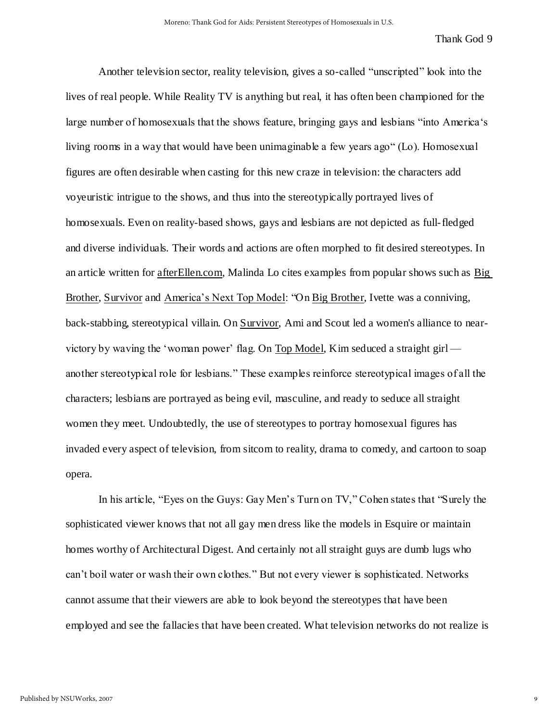Another television sector, reality television, gives a so-called "unscripted" look into the lives of real people. While Reality TV is anything but real, it has often been championed for the large number of homosexuals that the shows feature, bringing gays and lesbians "into America's living rooms in a way that would have been unimaginable a few years ago" (Lo). Homosexual figures are often desirable when casting for this new craze in television: the characters add voyeuristic intrigue to the shows, and thus into the stereotypically portrayed lives of homosexuals. Even on reality-based shows, gays and lesbians are not depicted as full-fledged and diverse individuals. Their words and actions are often morphed to fit desired stereotypes. In an article written for afterEllen.com, Malinda Lo cites examples from popular shows such as Big Brother, Survivor and America's Next Top Model: "On Big Brother, Ivette was a conniving, back-stabbing, stereotypical villain. On Survivor, Ami and Scout led a women's alliance to nearvictory by waving the "woman power" flag. On Top Model, Kim seduced a straight girl another stereotypical role for lesbians." These examples reinforce stereotypical images of all the characters; lesbians are portrayed as being evil, masculine, and ready to seduce all straight women they meet. Undoubtedly, the use of stereotypes to portray homosexual figures has invaded every aspect of television, from sitcom to reality, drama to comedy, and cartoon to soap opera.

In his article, "Eyes on the Guys: Gay Men's Turn on TV," Cohen states that "Surely the sophisticated viewer knows that not all gay men dress like the models in Esquire or maintain homes worthy of Architectural Digest. And certainly not all straight guys are dumb lugs who can"t boil water or wash their own clothes." But not every viewer is sophisticated. Networks cannot assume that their viewers are able to look beyond the stereotypes that have been employed and see the fallacies that have been created. What television networks do not realize is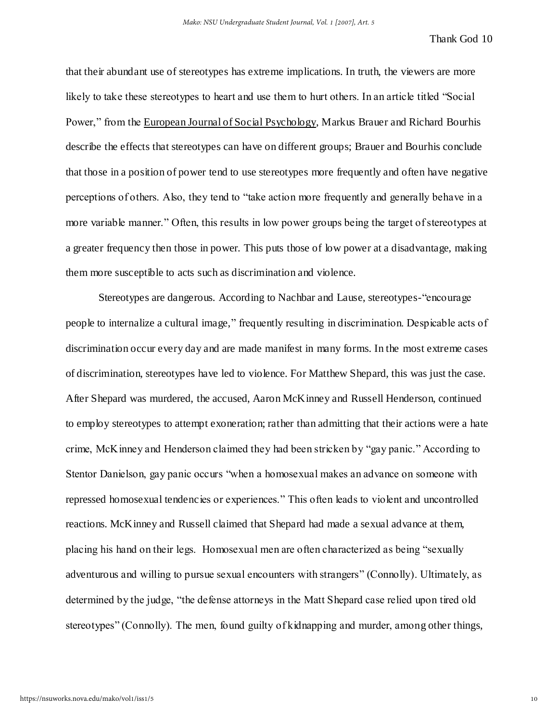that their abundant use of stereotypes has extreme implications. In truth, the viewers are more likely to take these stereotypes to heart and use them to hurt others. In an article titled "Social" Power," from the European Journal of Social Psychology, Markus Brauer and Richard Bourhis describe the effects that stereotypes can have on different groups; Brauer and Bourhis conclude that those in a position of power tend to use stereotypes more frequently and often have negative perceptions of others. Also, they tend to "take action more frequently and generally behave in a more variable manner." Often, this results in low power groups being the target of stereotypes at a greater frequency then those in power. This puts those of low power at a disadvantage, making them more susceptible to acts such as discrimination and violence.

 Stereotypes are dangerous. According to Nachbar and Lause, stereotypes-"encourage people to internalize a cultural image," frequently resulting in discrimination. Despicable acts of discrimination occur every day and are made manifest in many forms. In the most extreme cases of discrimination, stereotypes have led to violence. For Matthew Shepard, this was just the case. After Shepard was murdered, the accused, Aaron McKinney and Russell Henderson, continued to employ stereotypes to attempt exoneration; rather than admitting that their actions were a hate crime, McKinney and Henderson claimed they had been stricken by "gay panic." According to Stentor Danielson, gay panic occurs "when a homosexual makes an advance on someone with repressed homosexual tendencies or experiences." This often leads to violent and uncontrolled reactions. McKinney and Russell claimed that Shepard had made a sexual advance at them, placing his hand on their legs. Homosexual men are often characterized as being "sexually adventurous and willing to pursue sexual encounters with strangers" (Connolly). Ultimately, as determined by the judge, "the defense attorneys in the Matt Shepard case relied upon tired old stereotypes" (Connolly). The men, found guilty of kidnapping and murder, among other things,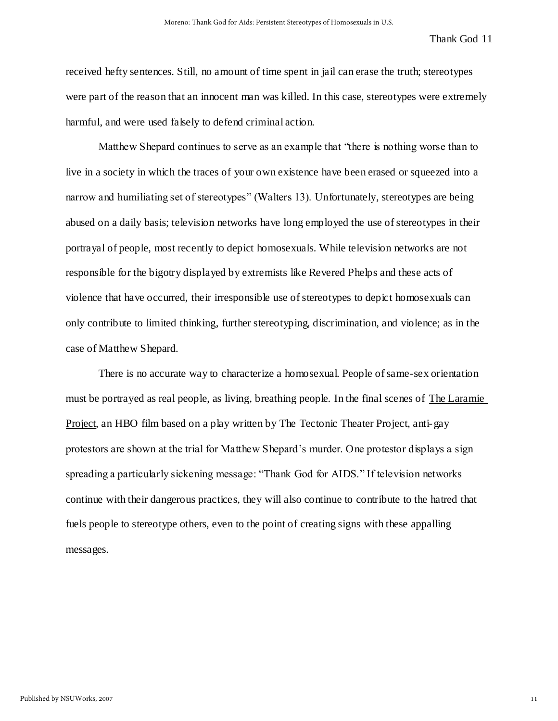received hefty sentences. Still, no amount of time spent in jail can erase the truth; stereotypes were part of the reason that an innocent man was killed. In this case, stereotypes were extremely harmful, and were used falsely to defend criminal action.

Matthew Shepard continues to serve as an example that "there is nothing worse than to live in a society in which the traces of your own existence have been erased or squeezed into a narrow and humiliating set of stereotypes" (Walters 13). Unfortunately, stereotypes are being abused on a daily basis; television networks have long employed the use of stereotypes in their portrayal of people, most recently to depict homosexuals. While television networks are not responsible for the bigotry displayed by extremists like Revered Phelps and these acts of violence that have occurred, their irresponsible use of stereotypes to depict homosexuals can only contribute to limited thinking, further stereotyping, discrimination, and violence; as in the case of Matthew Shepard.

There is no accurate way to characterize a homosexual. People of same-sex orientation must be portrayed as real people, as living, breathing people. In the final scenes of The Laramie Project, an HBO film based on a play written by The Tectonic Theater Project, anti-gay protestors are shown at the trial for Matthew Shepard"s murder. One protestor displays a sign spreading a particularly sickening message: "Thank God for AIDS." If television networks continue with their dangerous practices, they will also continue to contribute to the hatred that fuels people to stereotype others, even to the point of creating signs with these appalling messages.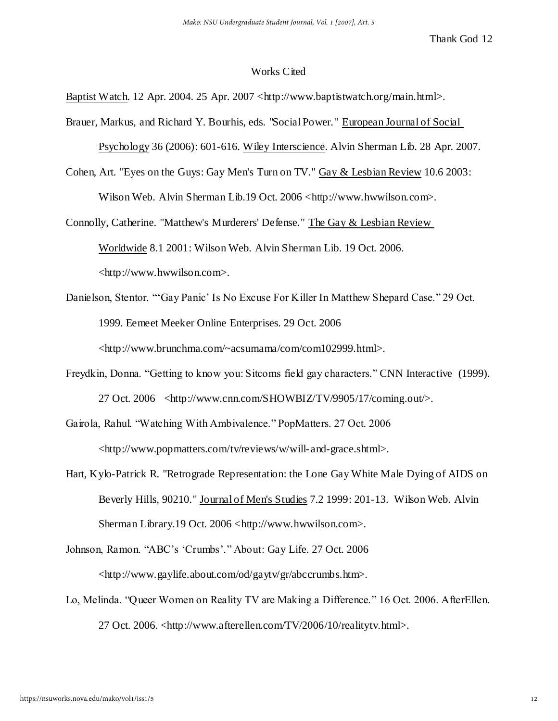### Works Cited

Baptist Watch. 12 Apr. 2004. 25 Apr. 2007 <http://www.baptistwatch.org/main.html>.

- Brauer, Markus, and Richard Y. Bourhis, eds. "Social Power." European Journal of Social Psychology 36 (2006): 601-616. Wiley Interscience. Alvin Sherman Lib. 28 Apr. 2007.
- Cohen, Art. "Eyes on the Guys: Gay Men's Turn on TV." Gay & Lesbian Review 10.6 2003: Wilson Web. Alvin Sherman Lib.19 Oct. 2006 <http://www.hwwilson.com>.

Connolly, Catherine. "Matthew's Murderers' Defense." The Gay & Lesbian Review Worldwide 8.1 2001: Wilson Web. Alvin Sherman Lib. 19 Oct. 2006. <http://www.hwwilson.com>.

- Danielson, Stentor. ""Gay Panic" Is No Excuse For Killer In Matthew Shepard Case." 29 Oct. 1999. Eemeet Meeker Online Enterprises. 29 Oct. 2006 <http://www.brunchma.com/~acsumama/com/com102999.html>.
- Freydkin, Donna. "Getting to know you: Sitcoms field gay characters." CNN Interactive (1999). 27 Oct. 2006 <http://www.cnn.com/SHOWBIZ/TV/9905/17/coming.out/>.
- Gairola, Rahul. "Watching With Ambivalence." PopMatters. 27 Oct. 2006 <http://www.popmatters.com/tv/reviews/w/will-and-grace.shtml>.
- Hart, Kylo-Patrick R. "Retrograde Representation: the Lone Gay White Male Dying of AIDS on Beverly Hills, 90210." Journal of Men's Studies 7.2 1999: 201-13. Wilson Web. Alvin Sherman Library.19 Oct. 2006 <http://www.hwwilson.com>.

Johnson, Ramon. "ABC's 'Crumbs'." About: Gay Life. 27 Oct. 2006 <http://www.gaylife.about.com/od/gaytv/gr/abccrumbs.htm>.

Lo, Melinda. "Queer Women on Reality TV are Making a Difference." 16 Oct. 2006. AfterEllen. 27 Oct. 2006. <http://www.afterellen.com/TV/2006/10/realitytv.html>.